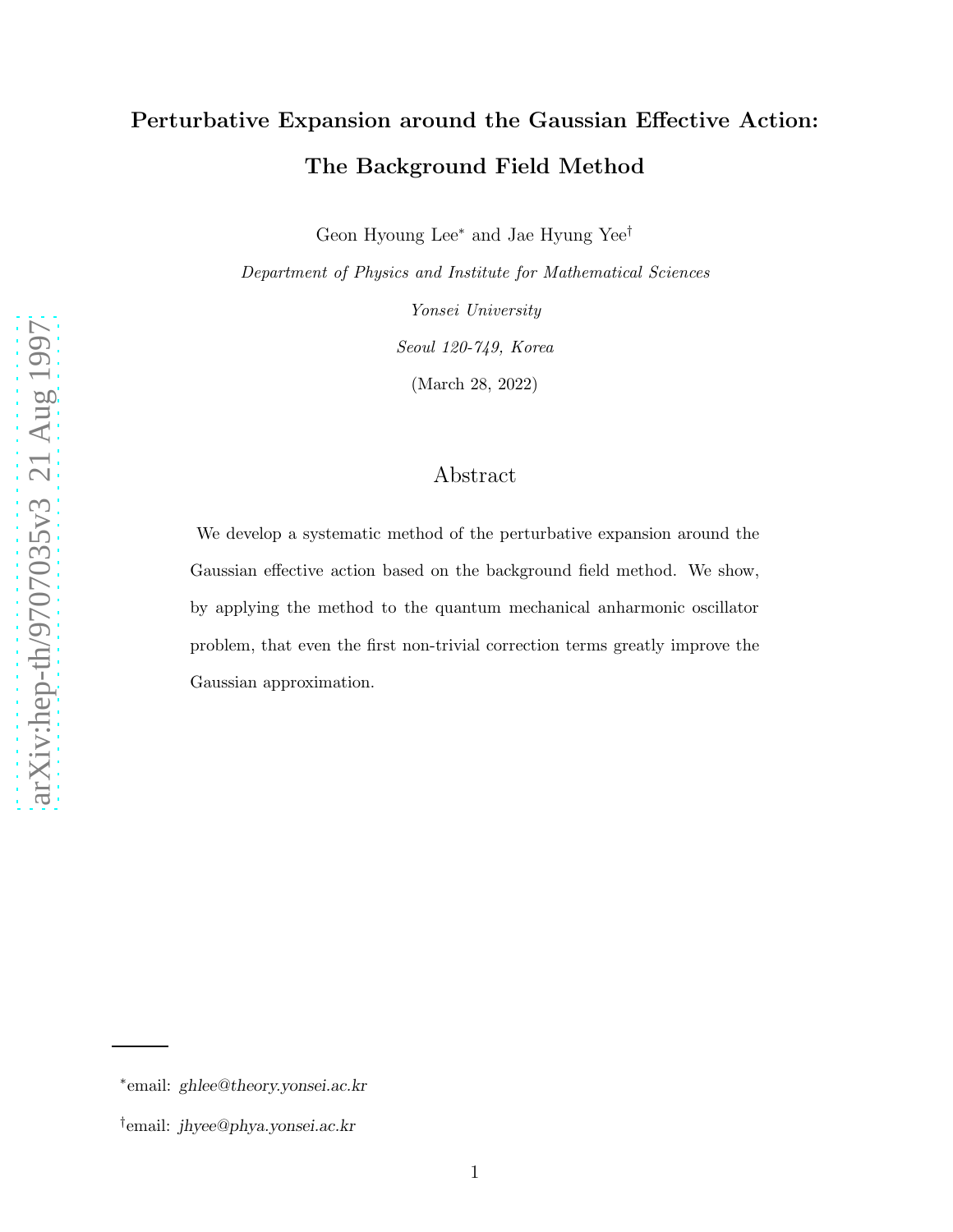# Perturbative Expansion around the Gaussian Effective Action: The Background Field Method

Geon Hyoung Lee<sup>∗</sup> and Jae Hyung Yee<sup>†</sup>

Department of Physics and Institute for Mathematical Sciences

Yonsei University Seoul 120-749, Korea (March 28, 2022)

## Abstract

We develop a systematic method of the perturbative expansion around the Gaussian effective action based on the background field method. We show, by applying the method to the quantum mechanical anharmonic oscillator problem, that even the first non-trivial correction terms greatly improve the Gaussian approximation.

<sup>∗</sup> email: ghlee@theory.yonsei.ac.kr

<sup>†</sup> email: jhyee@phya.yonsei.ac.kr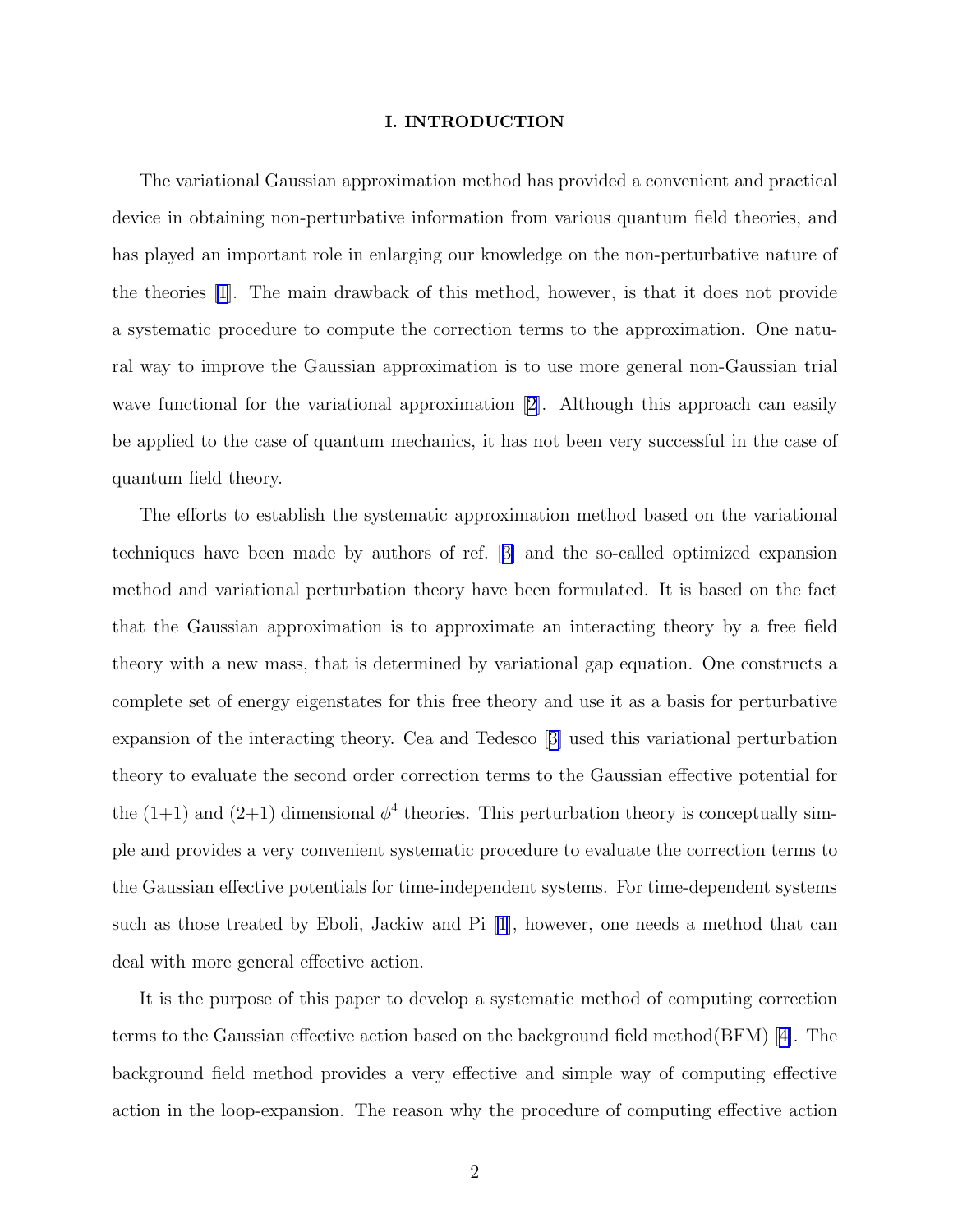#### I. INTRODUCTION

The variational Gaussian approximation method has provided a convenient and practical device in obtaining non-perturbative information from various quantum field theories, and has played an important role in enlarging our knowledge on the non-perturbative nature of the theories [\[1](#page-12-0)]. The main drawback of this method, however, is that it does not provide a systematic procedure to compute the correction terms to the approximation. One natural way to improve the Gaussian approximation is to use more general non-Gaussian trial wavefunctional for the variational approximation [[2\]](#page-12-0). Although this approach can easily be applied to the case of quantum mechanics, it has not been very successful in the case of quantum field theory.

The efforts to establish the systematic approximation method based on the variational techniques have been made by authors of ref.[[3\]](#page-12-0) and the so-called optimized expansion method and variational perturbation theory have been formulated. It is based on the fact that the Gaussian approximation is to approximate an interacting theory by a free field theory with a new mass, that is determined by variational gap equation. One constructs a complete set of energy eigenstates for this free theory and use it as a basis for perturbative expansion of the interacting theory. Cea and Tedesco[[3\]](#page-12-0) used this variational perturbation theory to evaluate the second order correction terms to the Gaussian effective potential for the  $(1+1)$  and  $(2+1)$  dimensional  $\phi^4$  theories. This perturbation theory is conceptually simple and provides a very convenient systematic procedure to evaluate the correction terms to the Gaussian effective potentials for time-independent systems. For time-dependent systems such as those treated by Eboli, Jackiw and Pi [\[1](#page-12-0)], however, one needs a method that can deal with more general effective action.

It is the purpose of this paper to develop a systematic method of computing correction terms to the Gaussian effective action based on the background field method(BFM)[[4\]](#page-12-0). The background field method provides a very effective and simple way of computing effective action in the loop-expansion. The reason why the procedure of computing effective action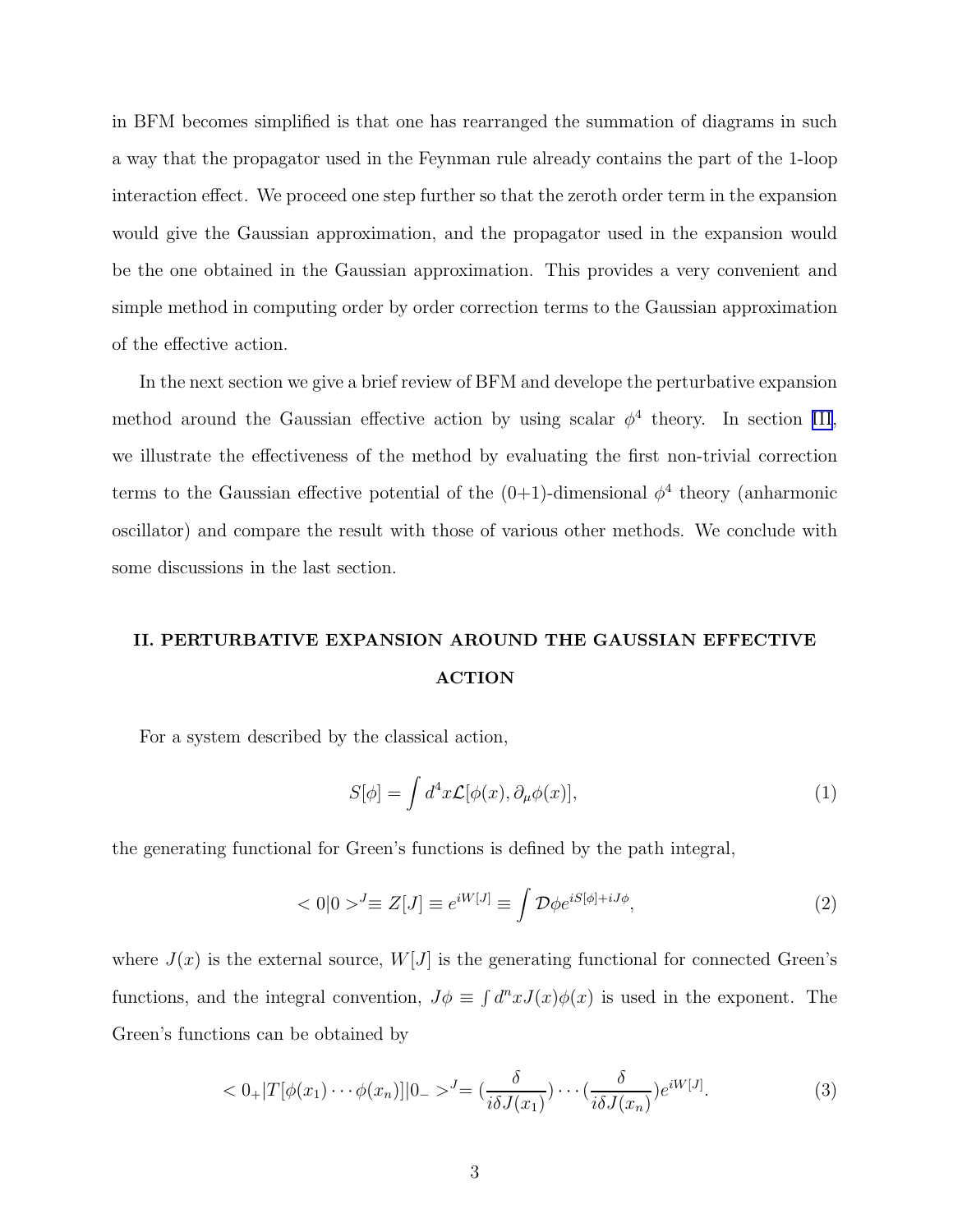in BFM becomes simplified is that one has rearranged the summation of diagrams in such a way that the propagator used in the Feynman rule already contains the part of the 1-loop interaction effect. We proceed one step further so that the zeroth order term in the expansion would give the Gaussian approximation, and the propagator used in the expansion would be the one obtained in the Gaussian approximation. This provides a very convenient and simple method in computing order by order correction terms to the Gaussian approximation of the effective action.

In the next section we give a brief review of BFM and develope the perturbative expansion method around the Gaussian effective action by using scalar  $\phi^4$  theory. In section [III,](#page-9-0) we illustrate the effectiveness of the method by evaluating the first non-trivial correction terms to the Gaussian effective potential of the  $(0+1)$ -dimensional  $\phi^4$  theory (anharmonic oscillator) and compare the result with those of various other methods. We conclude with some discussions in the last section.

# II. PERTURBATIVE EXPANSION AROUND THE GAUSSIAN EFFECTIVE ACTION

For a system described by the classical action,

$$
S[\phi] = \int d^4x \mathcal{L}[\phi(x), \partial_\mu \phi(x)], \qquad (1)
$$

the generating functional for Green's functions is defined by the path integral,

$$
\langle 0|0\rangle^J \equiv Z[J] \equiv e^{iW[J]} \equiv \int \mathcal{D}\phi e^{iS[\phi] + iJ\phi},\tag{2}
$$

where  $J(x)$  is the external source,  $W[J]$  is the generating functional for connected Green's functions, and the integral convention,  $J\phi \equiv \int d^n x J(x)\phi(x)$  is used in the exponent. The Green's functions can be obtained by

$$
\langle 0_+|T[\phi(x_1)\cdots\phi(x_n)]|0_-\rangle^J = \left(\frac{\delta}{i\delta J(x_1)}\right)\cdots\left(\frac{\delta}{i\delta J(x_n)}\right)e^{iW[J]}.
$$
\n(3)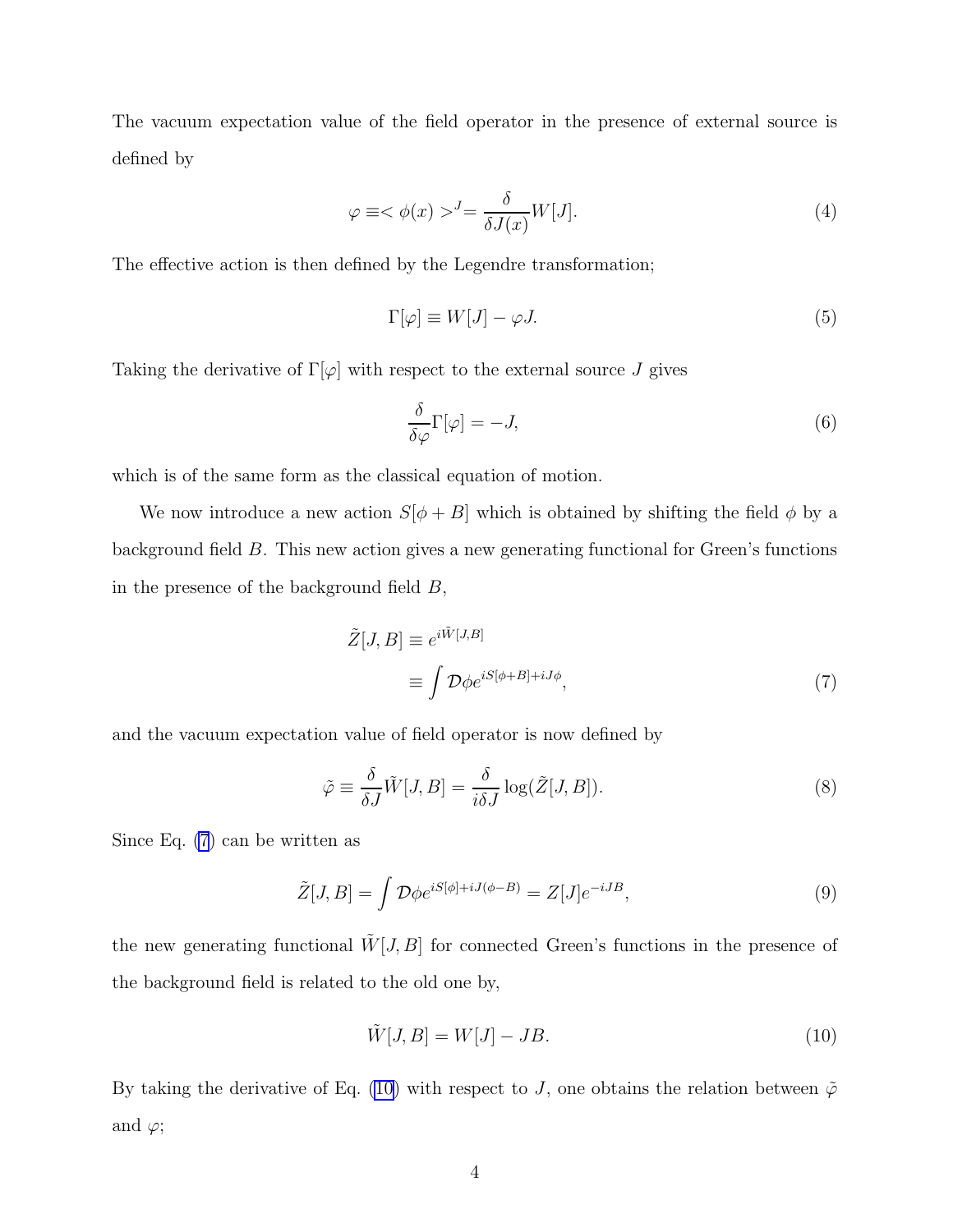<span id="page-3-0"></span>The vacuum expectation value of the field operator in the presence of external source is defined by

$$
\varphi \equiv \langle \phi(x) \rangle^J = \frac{\delta}{\delta J(x)} W[J]. \tag{4}
$$

The effective action is then defined by the Legendre transformation;

$$
\Gamma[\varphi] \equiv W[J] - \varphi J. \tag{5}
$$

Taking the derivative of  $\Gamma[\varphi]$  with respect to the external source J gives

$$
\frac{\delta}{\delta \varphi} \Gamma[\varphi] = -J,\tag{6}
$$

which is of the same form as the classical equation of motion.

We now introduce a new action  $S[\phi + B]$  which is obtained by shifting the field  $\phi$  by a background field B. This new action gives a new generating functional for Green's functions in the presence of the background field  $B$ ,

$$
\tilde{Z}[J, B] \equiv e^{i\tilde{W}[J, B]} \n\equiv \int \mathcal{D}\phi e^{iS[\phi + B] + iJ\phi},
$$
\n(7)

and the vacuum expectation value of field operator is now defined by

$$
\tilde{\varphi} \equiv \frac{\delta}{\delta J} \tilde{W}[J, B] = \frac{\delta}{i\delta J} \log(\tilde{Z}[J, B]). \tag{8}
$$

Since Eq. (7) can be written as

$$
\tilde{Z}[J,B] = \int \mathcal{D}\phi e^{iS[\phi] + iJ(\phi - B)} = Z[J]e^{-iJB},\tag{9}
$$

the new generating functional  $\tilde{W}[J, B]$  for connected Green's functions in the presence of the background field is related to the old one by,

$$
\tilde{W}[J,B] = W[J] - JB.
$$
\n(10)

By taking the derivative of Eq. (10) with respect to J, one obtains the relation between  $\tilde{\varphi}$ and  $\varphi$ ;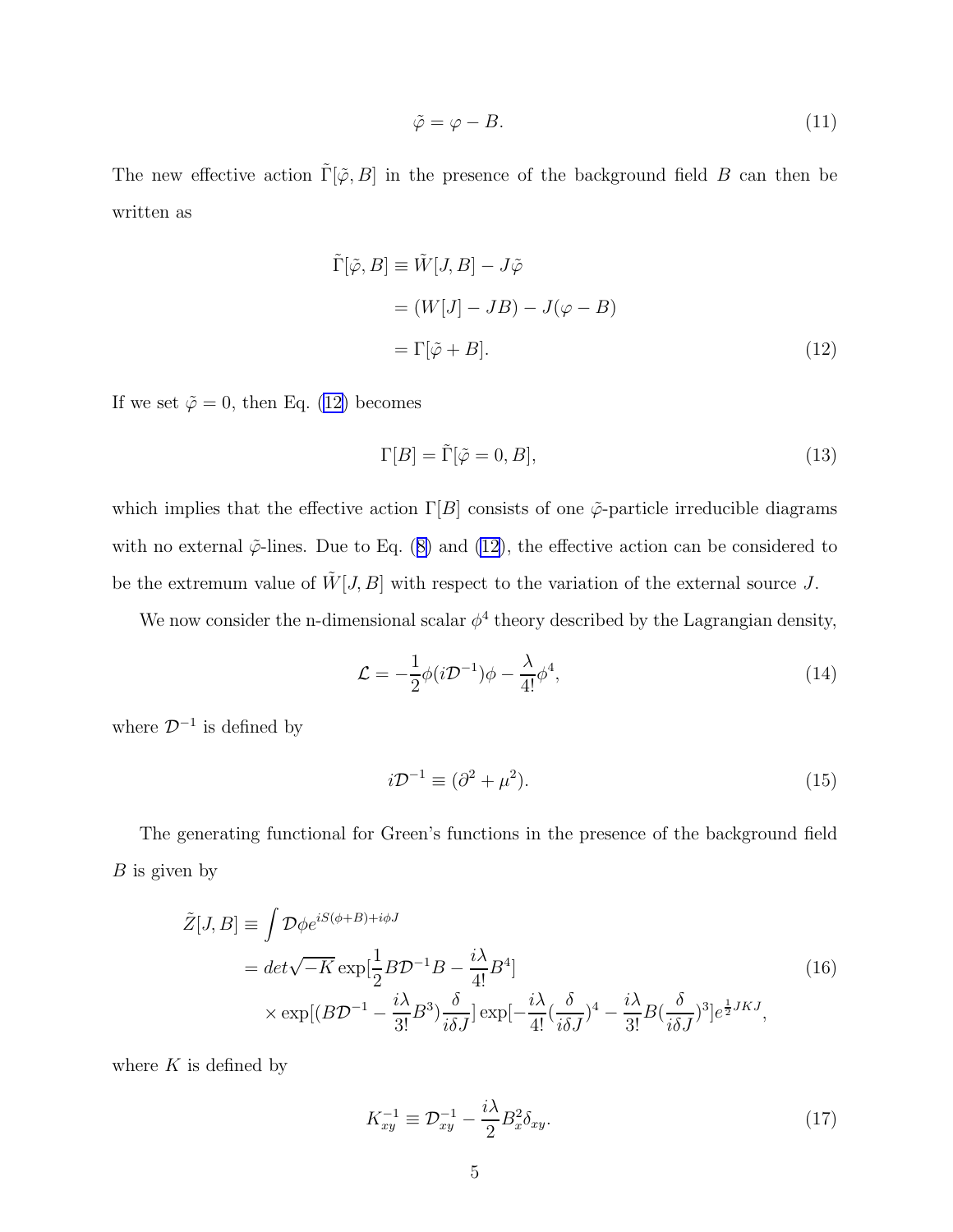$$
\tilde{\varphi} = \varphi - B. \tag{11}
$$

<span id="page-4-0"></span>The new effective action  $\tilde{\Gamma}[\tilde{\varphi}, B]$  in the presence of the background field B can then be written as

$$
\tilde{\Gamma}[\tilde{\varphi}, B] \equiv \tilde{W}[J, B] - J\tilde{\varphi}
$$
\n
$$
= (W[J] - JB) - J(\varphi - B)
$$
\n
$$
= \Gamma[\tilde{\varphi} + B]. \tag{12}
$$

If we set  $\tilde{\varphi} = 0$ , then Eq. (12) becomes

$$
\Gamma[B] = \tilde{\Gamma}[\tilde{\varphi} = 0, B],\tag{13}
$$

which implies that the effective action  $\Gamma[B]$  consists of one  $\tilde{\varphi}$ -particle irreducible diagrams withno external  $\tilde{\varphi}$ -lines. Due to Eq. ([8\)](#page-3-0) and (12), the effective action can be considered to be the extremum value of  $\tilde{W}[J, B]$  with respect to the variation of the external source J.

We now consider the n-dimensional scalar  $\phi^4$  theory described by the Lagrangian density,

$$
\mathcal{L} = -\frac{1}{2}\phi(i\mathcal{D}^{-1})\phi - \frac{\lambda}{4!}\phi^4,\tag{14}
$$

where  $\mathcal{D}^{-1}$  is defined by

$$
i\mathcal{D}^{-1} \equiv (\partial^2 + \mu^2). \tag{15}
$$

The generating functional for Green's functions in the presence of the background field  $B$  is given by

$$
\tilde{Z}[J,B] \equiv \int \mathcal{D}\phi e^{iS(\phi+B)+i\phi J} \n= det\sqrt{-K} \exp[\frac{1}{2}B\mathcal{D}^{-1}B - \frac{i\lambda}{4!}B^4] \n\times \exp[(B\mathcal{D}^{-1} - \frac{i\lambda}{3!}B^3)\frac{\delta}{i\delta J}] \exp[-\frac{i\lambda}{4!}(\frac{\delta}{i\delta J})^4 - \frac{i\lambda}{3!}B(\frac{\delta}{i\delta J})^3]e^{\frac{1}{2}JKJ},
$$
\n(16)

where  $K$  is defined by

$$
K_{xy}^{-1} \equiv \mathcal{D}_{xy}^{-1} - \frac{i\lambda}{2} B_x^2 \delta_{xy}.
$$
 (17)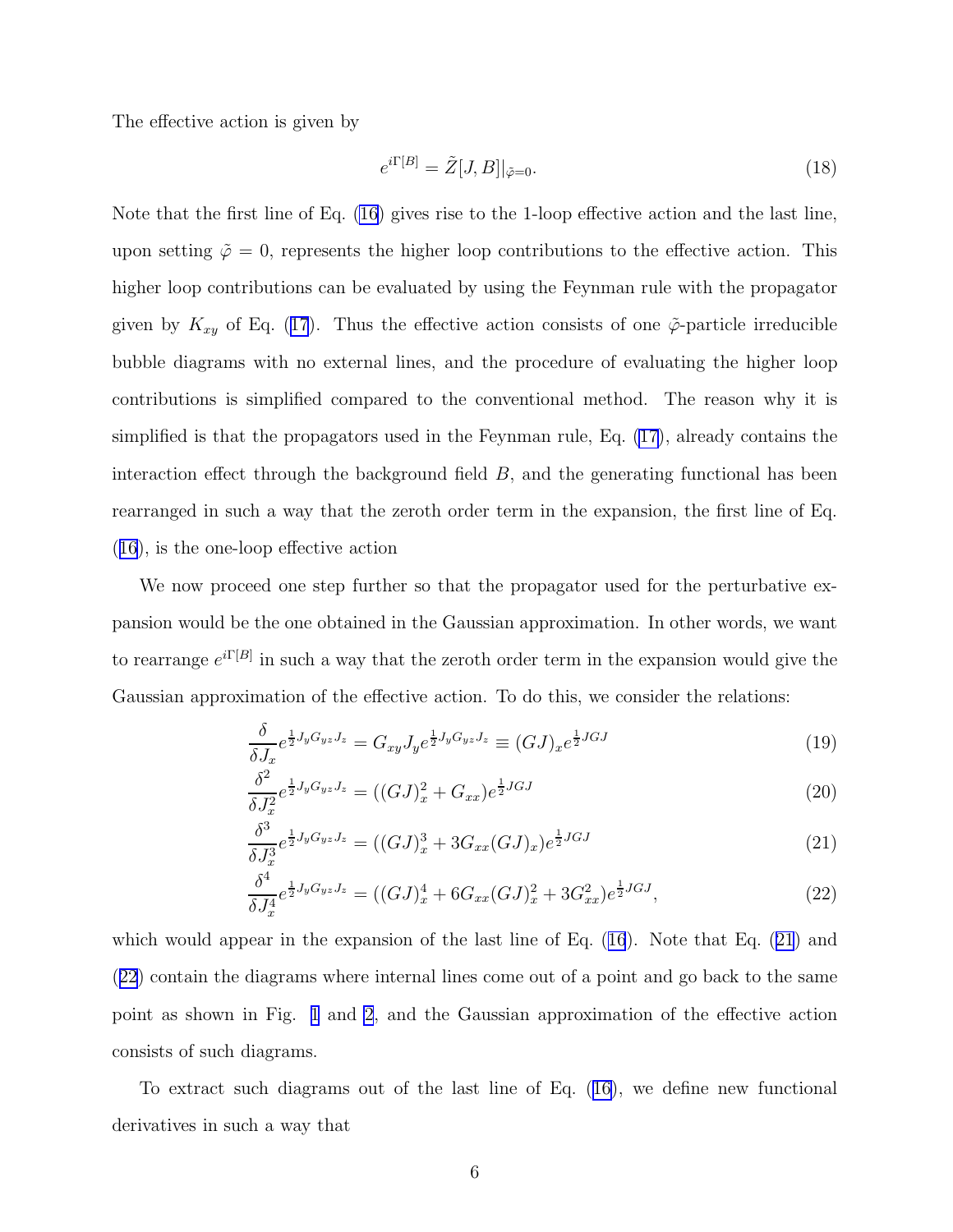<span id="page-5-0"></span>The effective action is given by

$$
e^{i\Gamma[B]} = \tilde{Z}[J,B]|_{\tilde{\varphi}=0}.\tag{18}
$$

Note that the first line of Eq. [\(16](#page-4-0)) gives rise to the 1-loop effective action and the last line, upon setting  $\tilde{\varphi} = 0$ , represents the higher loop contributions to the effective action. This higher loop contributions can be evaluated by using the Feynman rule with the propagator givenby  $K_{xy}$  of Eq. ([17](#page-4-0)). Thus the effective action consists of one  $\tilde{\varphi}$ -particle irreducible bubble diagrams with no external lines, and the procedure of evaluating the higher loop contributions is simplified compared to the conventional method. The reason why it is simplified is that the propagators used in the Feynman rule, Eq. [\(17\)](#page-4-0), already contains the interaction effect through the background field  $B$ , and the generating functional has been rearranged in such a way that the zeroth order term in the expansion, the first line of Eq. ([16](#page-4-0)), is the one-loop effective action

We now proceed one step further so that the propagator used for the perturbative expansion would be the one obtained in the Gaussian approximation. In other words, we want to rearrange  $e^{i\Gamma[B]}$  in such a way that the zeroth order term in the expansion would give the Gaussian approximation of the effective action. To do this, we consider the relations:

$$
\frac{\delta}{\delta J_x} e^{\frac{1}{2}J_y G_{yz} J_z} = G_{xy} J_y e^{\frac{1}{2}J_y G_{yz} J_z} \equiv (GJ)_x e^{\frac{1}{2}JGJ} \tag{19}
$$

$$
\frac{\delta^2}{\delta J_x^2} e^{\frac{1}{2}J_y G_{yz} J_z} = ((GJ)_x^2 + G_{xx}) e^{\frac{1}{2}JGJ} \tag{20}
$$

$$
\frac{\delta^3}{\delta J_x^3} e^{\frac{1}{2}J_y G_{yz} J_z} = ((GJ)_x^3 + 3G_{xx}(GJ)_x) e^{\frac{1}{2}JGJ} \tag{21}
$$

$$
\frac{\delta^4}{\delta J_x^4} e^{\frac{1}{2}J_y G_{yz} J_z} = ((GJ)_x^4 + 6G_{xx}(GJ)_x^2 + 3G_{xx}^2) e^{\frac{1}{2}JGJ},\tag{22}
$$

whichwould appear in the expansion of the last line of Eq.  $(16)$  $(16)$  $(16)$ . Note that Eq.  $(21)$  and (22) contain the diagrams where internal lines come out of a point and go back to the same point as shown in Fig. [1](#page-14-0) and [2](#page-14-0), and the Gaussian approximation of the effective action consists of such diagrams.

To extract such diagrams out of the last line of Eq.([16\)](#page-4-0), we define new functional derivatives in such a way that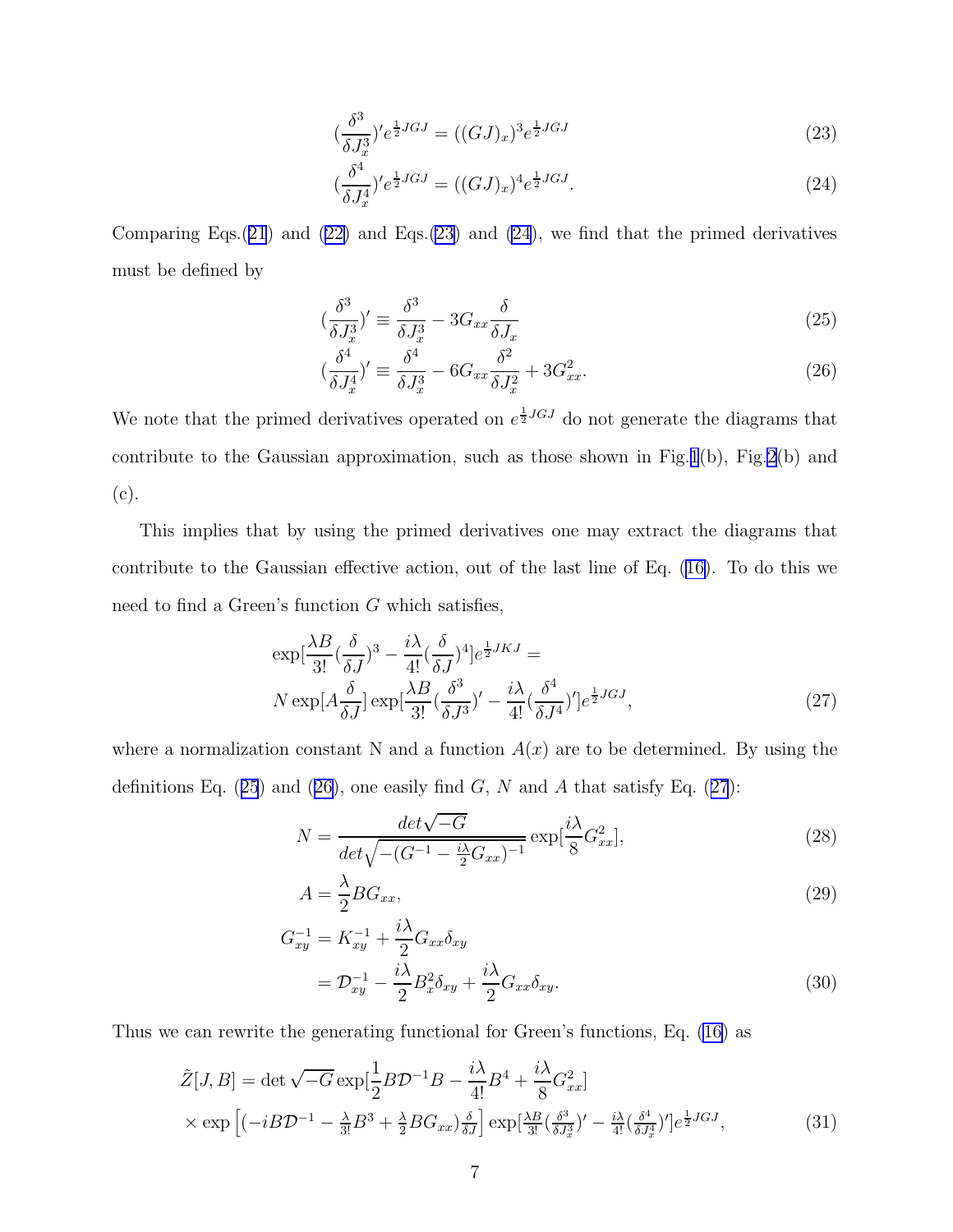$$
\left(\frac{\delta^3}{\delta J_x^3}\right)' e^{\frac{1}{2}JGJ} = \left((GJ)_x\right)^3 e^{\frac{1}{2}JGJ} \tag{23}
$$

$$
\left(\frac{\delta^4}{\delta J_x^4}\right)'e^{\frac{1}{2}JGJ} = \left((GJ)_x\right)^4 e^{\frac{1}{2}JGJ}.\tag{24}
$$

<span id="page-6-0"></span>Comparing Eqs. $(21)$  $(21)$  $(21)$  and  $(22)$  and Eqs. $(23)$  and  $(24)$ , we find that the primed derivatives must be defined by

$$
\left(\frac{\delta^3}{\delta J_x^3}\right)' \equiv \frac{\delta^3}{\delta J_x^3} - 3G_{xx}\frac{\delta}{\delta J_x} \tag{25}
$$

$$
\left(\frac{\delta^4}{\delta J_x^4}\right)' \equiv \frac{\delta^4}{\delta J_x^3} - 6G_{xx}\frac{\delta^2}{\delta J_x^2} + 3G_{xx}^2. \tag{26}
$$

We note that the primed derivatives operated on  $e^{\frac{1}{2}JGJ}$  do not generate the diagrams that contribute to the Gaussian approximation, such as those shown in Fig.[1](#page-14-0)(b), Fig[.2](#page-14-0)(b) and (c).

This implies that by using the primed derivatives one may extract the diagrams that contribute to the Gaussian effective action, out of the last line of Eq.([16\)](#page-4-0). To do this we need to find a Green's function  $G$  which satisfies,

$$
\exp\left[\frac{\lambda B}{3!}(\frac{\delta}{\delta J})^3 - \frac{i\lambda}{4!}(\frac{\delta}{\delta J})^4\right]e^{\frac{1}{2}JKJ} =
$$
  
\n
$$
N \exp[A\frac{\delta}{\delta J}] \exp\left[\frac{\lambda B}{3!}(\frac{\delta^3}{\delta J^3})' - \frac{i\lambda}{4!}(\frac{\delta^4}{\delta J^4})'\right]e^{\frac{1}{2}JGJ},
$$
\n(27)

where a normalization constant N and a function  $A(x)$  are to be determined. By using the definitions Eq.  $(25)$  and  $(26)$ , one easily find G, N and A that satisfy Eq.  $(27)$ :

$$
N = \frac{det\sqrt{-G}}{det\sqrt{-(G^{-1} - \frac{i\lambda}{2}G_{xx})^{-1}}} \exp[\frac{i\lambda}{8}G_{xx}^2],
$$
\n(28)

$$
A = \frac{\lambda}{2} BG_{xx},\tag{29}
$$

$$
G_{xy}^{-1} = K_{xy}^{-1} + \frac{i\lambda}{2} G_{xx} \delta_{xy}
$$
  
=  $\mathcal{D}_{xy}^{-1} - \frac{i\lambda}{2} B_x^2 \delta_{xy} + \frac{i\lambda}{2} G_{xx} \delta_{xy}.$  (30)

Thus we can rewrite the generating functional for Green's functions, Eq. [\(16](#page-4-0)) as

$$
\tilde{Z}[J,B] = \det \sqrt{-G} \exp\left[\frac{1}{2}B\mathcal{D}^{-1}B - \frac{i\lambda}{4!}B^4 + \frac{i\lambda}{8}G_{xx}^2\right]
$$
  
 
$$
\times \exp\left[(-iB\mathcal{D}^{-1} - \frac{\lambda}{3!}B^3 + \frac{\lambda}{2}BG_{xx})\frac{\delta}{\delta J}\right] \exp\left[\frac{\lambda B}{3!}\left(\frac{\delta^3}{\delta J_x^3}\right)' - \frac{i\lambda}{4!}\left(\frac{\delta^4}{\delta J_x^4}\right)'\right]e^{\frac{1}{2}JGJ},
$$
\n(31)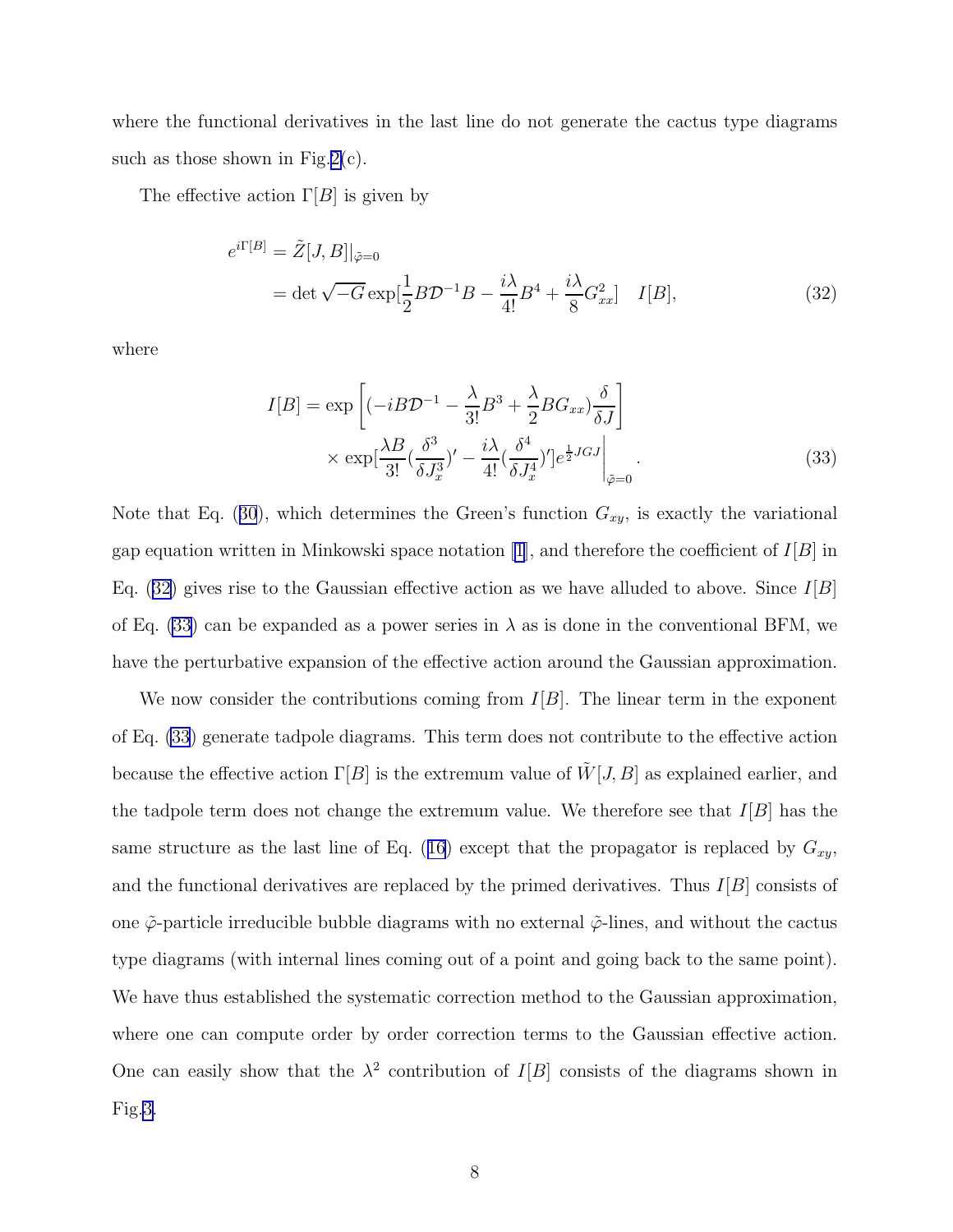<span id="page-7-0"></span>where the functional derivatives in the last line do not generate the cactus type diagrams such as those shown in Fig.[2\(](#page-14-0)c).

The effective action  $\Gamma[B]$  is given by

$$
e^{i\Gamma[B]} = \tilde{Z}[J,B]|_{\tilde{\varphi}=0}
$$
  
= det  $\sqrt{-G} \exp\left[\frac{1}{2}B\mathcal{D}^{-1}B - \frac{i\lambda}{4!}B^4 + \frac{i\lambda}{8}G_{xx}^2\right]$  I[B], (32)

where

$$
I[B] = \exp\left[(-iB\mathcal{D}^{-1} - \frac{\lambda}{3!}B^3 + \frac{\lambda}{2}BG_{xx})\frac{\delta}{\delta J}\right] \times \exp[\frac{\lambda B}{3!}(\frac{\delta^3}{\delta J_x^3})' - \frac{i\lambda}{4!}(\frac{\delta^4}{\delta J_x^4})']e^{\frac{1}{2}JGJ}\Big|_{\tilde{\varphi}=0}.
$$
\n(33)

Notethat Eq. ([30](#page-6-0)), which determines the Green's function  $G_{xy}$ , is exactly the variational gap equation written in Minkowski space notation [\[1\]](#page-12-0), and therefore the coefficient of  $I[B]$  in Eq. (32) gives rise to the Gaussian effective action as we have alluded to above. Since  $I[B]$ of Eq. (33) can be expanded as a power series in  $\lambda$  as is done in the conventional BFM, we have the perturbative expansion of the effective action around the Gaussian approximation.

We now consider the contributions coming from  $I[B]$ . The linear term in the exponent of Eq. (33) generate tadpole diagrams. This term does not contribute to the effective action because the effective action  $\Gamma[B]$  is the extremum value of  $\tilde{W}[J, B]$  as explained earlier, and the tadpole term does not change the extremum value. We therefore see that  $I[B]$  has the samestructure as the last line of Eq. ([16](#page-4-0)) except that the propagator is replaced by  $G_{xy}$ , and the functional derivatives are replaced by the primed derivatives. Thus  $I|B|$  consists of one  $\tilde{\varphi}$ -particle irreducible bubble diagrams with no external  $\tilde{\varphi}$ -lines, and without the cactus type diagrams (with internal lines coming out of a point and going back to the same point). We have thus established the systematic correction method to the Gaussian approximation, where one can compute order by order correction terms to the Gaussian effective action. One can easily show that the  $\lambda^2$  contribution of  $I[B]$  consists of the diagrams shown in Fig[.3.](#page-14-0)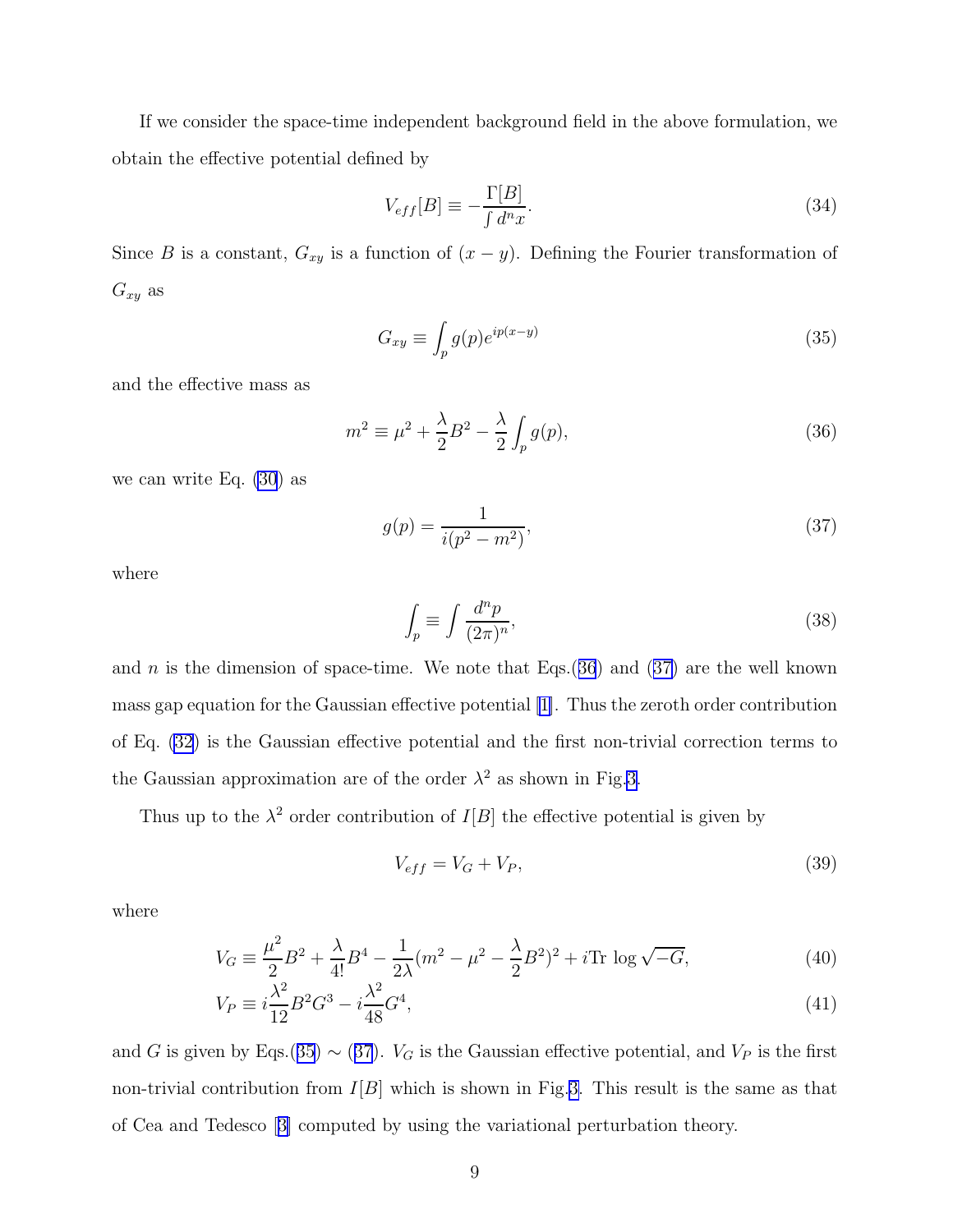<span id="page-8-0"></span>If we consider the space-time independent background field in the above formulation, we obtain the effective potential defined by

$$
V_{eff}[B] \equiv -\frac{\Gamma[B]}{\int d^n x}.\tag{34}
$$

Since B is a constant,  $G_{xy}$  is a function of  $(x - y)$ . Defining the Fourier transformation of  $G_{xy}$  as

$$
G_{xy} \equiv \int_p g(p)e^{ip(x-y)} \tag{35}
$$

and the effective mass as

$$
m^2 \equiv \mu^2 + \frac{\lambda}{2}B^2 - \frac{\lambda}{2} \int_p g(p), \qquad (36)
$$

we can write Eq. [\(30](#page-6-0)) as

$$
g(p) = \frac{1}{i(p^2 - m^2)},
$$
\n(37)

where

$$
\int_{p} \equiv \int \frac{d^{n}p}{(2\pi)^{n}},\tag{38}
$$

and n is the dimension of space-time. We note that  $Eqs.(36)$  and  $(37)$  are the well known mass gap equation for the Gaussian effective potential [\[1\]](#page-12-0). Thus the zeroth order contribution of Eq. [\(32](#page-7-0)) is the Gaussian effective potential and the first non-trivial correction terms to the Gaussian approximation are of the order  $\lambda^2$  as shown in Fig[.3.](#page-14-0)

Thus up to the  $\lambda^2$  order contribution of  $I[B]$  the effective potential is given by

$$
V_{eff} = V_G + V_P,\tag{39}
$$

where

$$
V_G \equiv \frac{\mu^2}{2}B^2 + \frac{\lambda}{4!}B^4 - \frac{1}{2\lambda}(m^2 - \mu^2 - \frac{\lambda}{2}B^2)^2 + i\text{Tr}\log\sqrt{-G},\tag{40}
$$

$$
V_P \equiv i\frac{\lambda^2}{12}B^2G^3 - i\frac{\lambda^2}{48}G^4,\tag{41}
$$

and G is given by Eqs.(35)  $\sim$  (37).  $V_G$  is the Gaussian effective potential, and  $V_P$  is the first non-trivial contribution from  $I[B]$  which is shown in Fig.[3.](#page-14-0) This result is the same as that of Cea and Tedesco[[3\]](#page-12-0) computed by using the variational perturbation theory.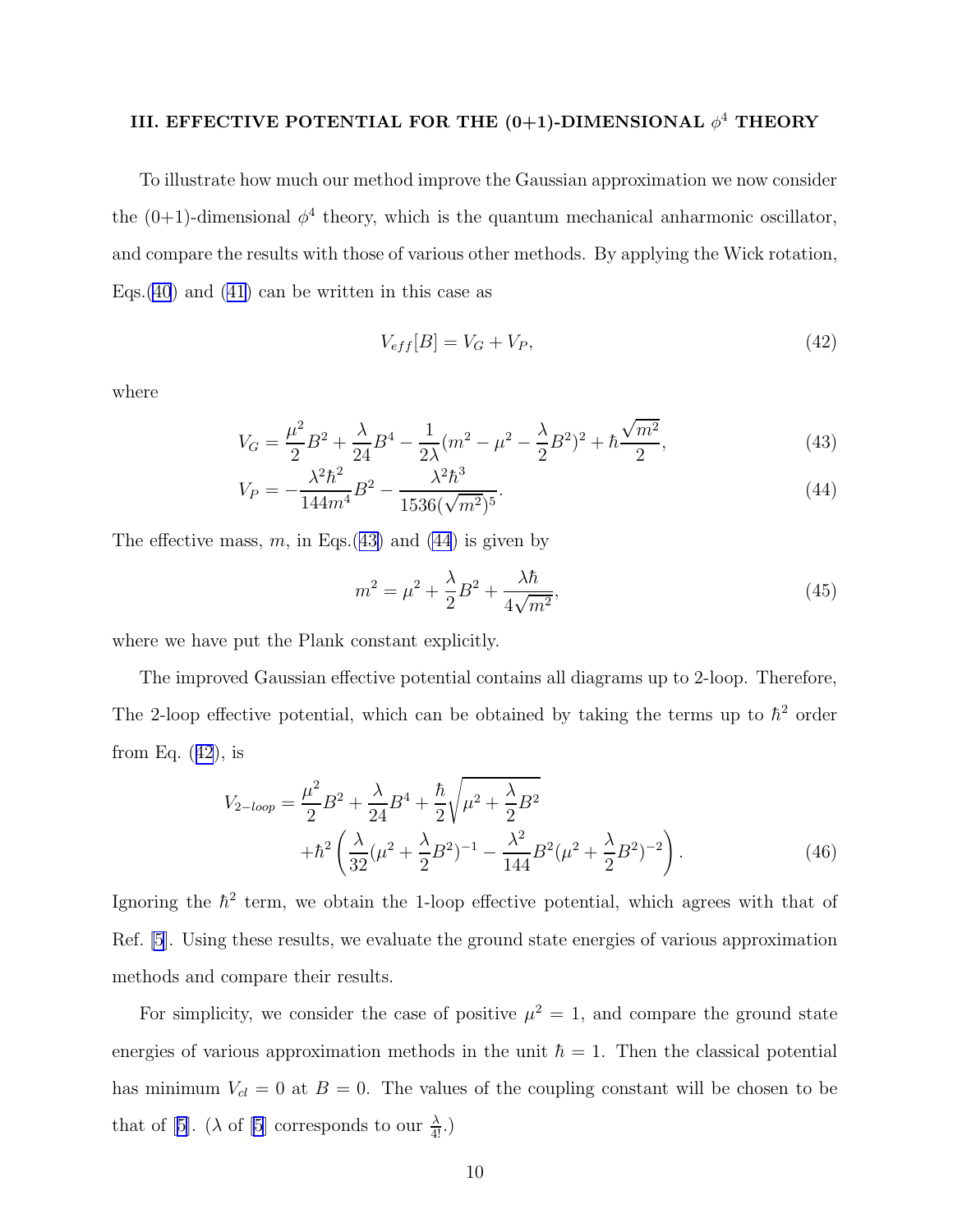#### <span id="page-9-0"></span>III. EFFECTIVE POTENTIAL FOR THE (0+1)-DIMENSIONAL  $\phi^4$  THEORY

To illustrate how much our method improve the Gaussian approximation we now consider the  $(0+1)$ -dimensional  $\phi^4$  theory, which is the quantum mechanical anharmonic oscillator, and compare the results with those of various other methods. By applying the Wick rotation, Eqs.  $(40)$  $(40)$  and  $(41)$  can be written in this case as

$$
V_{eff}[B] = V_G + V_P,\tag{42}
$$

where

$$
V_G = \frac{\mu^2}{2}B^2 + \frac{\lambda}{24}B^4 - \frac{1}{2\lambda}(m^2 - \mu^2 - \frac{\lambda}{2}B^2)^2 + \hbar\frac{\sqrt{m^2}}{2},\tag{43}
$$

$$
V_P = -\frac{\lambda^2 \hbar^2}{144m^4} B^2 - \frac{\lambda^2 \hbar^3}{1536(\sqrt{m^2})^5}.
$$
\n(44)

The effective mass, m, in Eqs.(43) and (44) is given by

$$
m^{2} = \mu^{2} + \frac{\lambda}{2}B^{2} + \frac{\lambda\hbar}{4\sqrt{m^{2}}},
$$
\n(45)

where we have put the Plank constant explicitly.

The improved Gaussian effective potential contains all diagrams up to 2-loop. Therefore, The 2-loop effective potential, which can be obtained by taking the terms up to  $\hbar^2$  order from Eq.  $(42)$ , is

$$
V_{2-loop} = \frac{\mu^2}{2}B^2 + \frac{\lambda}{24}B^4 + \frac{\hbar}{2}\sqrt{\mu^2 + \frac{\lambda}{2}B^2} + \hbar^2\left(\frac{\lambda}{32}(\mu^2 + \frac{\lambda}{2}B^2)^{-1} - \frac{\lambda^2}{144}B^2(\mu^2 + \frac{\lambda}{2}B^2)^{-2}\right).
$$
 (46)

Ignoring the  $\hbar^2$  term, we obtain the 1-loop effective potential, which agrees with that of Ref. [\[5](#page-12-0)]. Using these results, we evaluate the ground state energies of various approximation methods and compare their results.

For simplicity, we consider the case of positive  $\mu^2 = 1$ , and compare the ground state energies of various approximation methods in the unit  $\hbar = 1$ . Then the classical potential has minimum  $V_{cl} = 0$  at  $B = 0$ . The values of the coupling constant will be chosen to be thatof [[5\]](#page-12-0). ( $\lambda$  of [\[5](#page-12-0)] corresponds to our  $\frac{\lambda}{4!}$ .)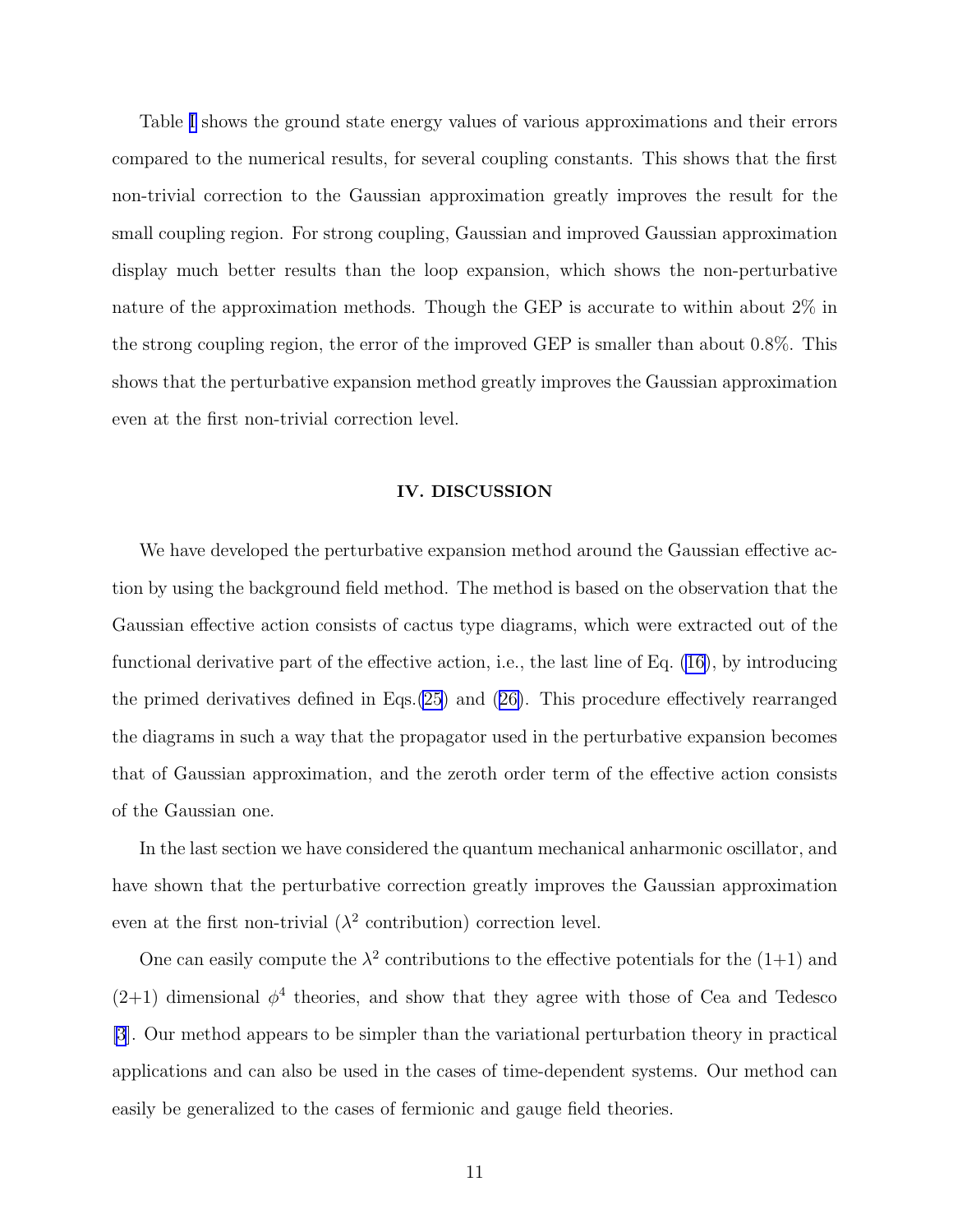Table [I](#page-15-0) shows the ground state energy values of various approximations and their errors compared to the numerical results, for several coupling constants. This shows that the first non-trivial correction to the Gaussian approximation greatly improves the result for the small coupling region. For strong coupling, Gaussian and improved Gaussian approximation display much better results than the loop expansion, which shows the non-perturbative nature of the approximation methods. Though the GEP is accurate to within about 2% in the strong coupling region, the error of the improved GEP is smaller than about 0.8%. This shows that the perturbative expansion method greatly improves the Gaussian approximation even at the first non-trivial correction level.

#### IV. DISCUSSION

We have developed the perturbative expansion method around the Gaussian effective action by using the background field method. The method is based on the observation that the Gaussian effective action consists of cactus type diagrams, which were extracted out of the functional derivative part of the effective action, i.e., the last line of Eq. [\(16\)](#page-4-0), by introducing the primed derivatives defined in Eqs.[\(25](#page-6-0)) and([26\)](#page-6-0). This procedure effectively rearranged the diagrams in such a way that the propagator used in the perturbative expansion becomes that of Gaussian approximation, and the zeroth order term of the effective action consists of the Gaussian one.

In the last section we have considered the quantum mechanical anharmonic oscillator, and have shown that the perturbative correction greatly improves the Gaussian approximation even at the first non-trivial  $(\lambda^2$  contribution) correction level.

One can easily compute the  $\lambda^2$  contributions to the effective potentials for the  $(1+1)$  and  $(2+1)$  dimensional  $\phi^4$  theories, and show that they agree with those of Cea and Tedesco [\[3](#page-12-0)]. Our method appears to be simpler than the variational perturbation theory in practical applications and can also be used in the cases of time-dependent systems. Our method can easily be generalized to the cases of fermionic and gauge field theories.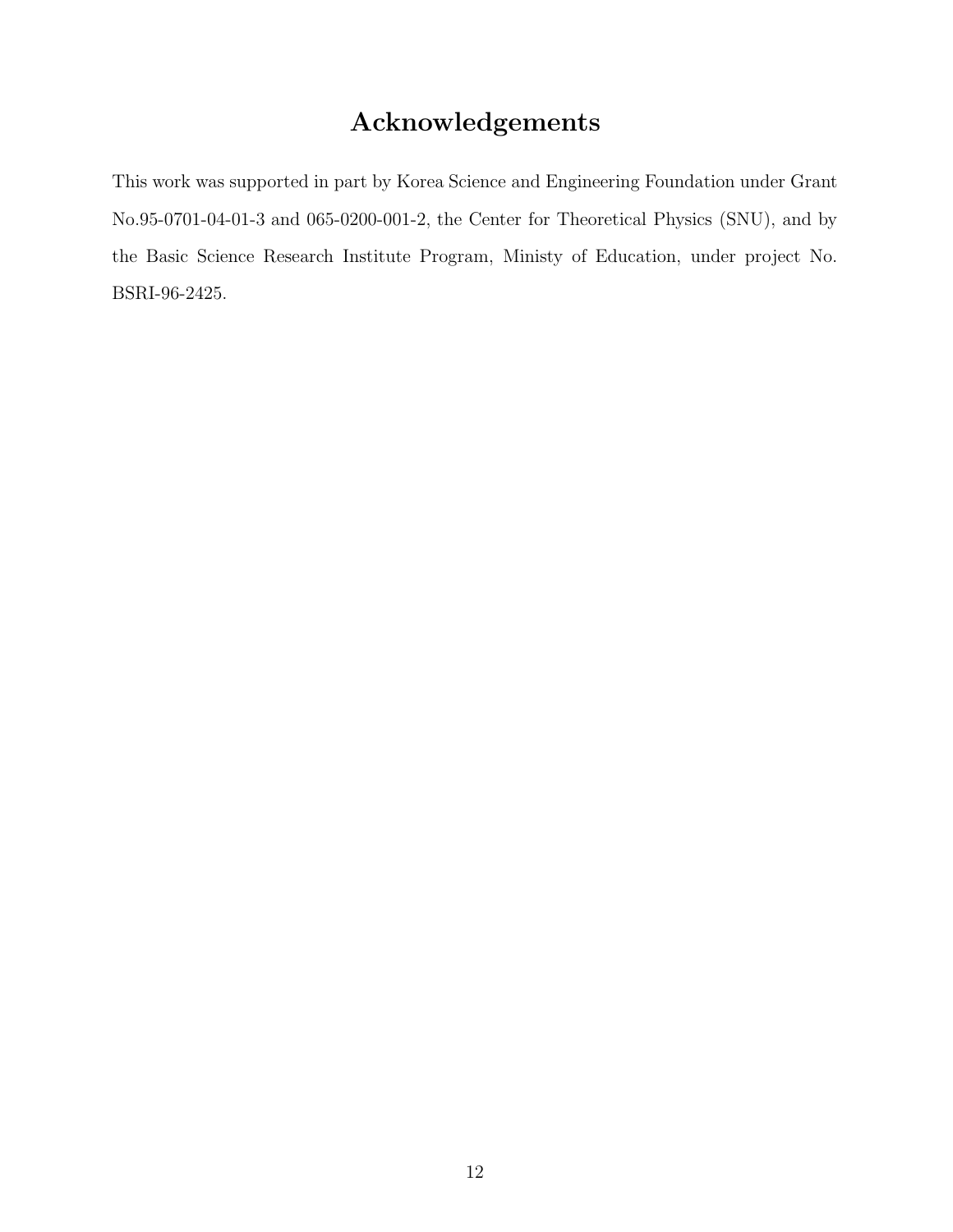# Acknowledgements

This work was supported in part by Korea Science and Engineering Foundation under Grant No.95-0701-04-01-3 and 065-0200-001-2, the Center for Theoretical Physics (SNU), and by the Basic Science Research Institute Program, Ministy of Education, under project No. BSRI-96-2425.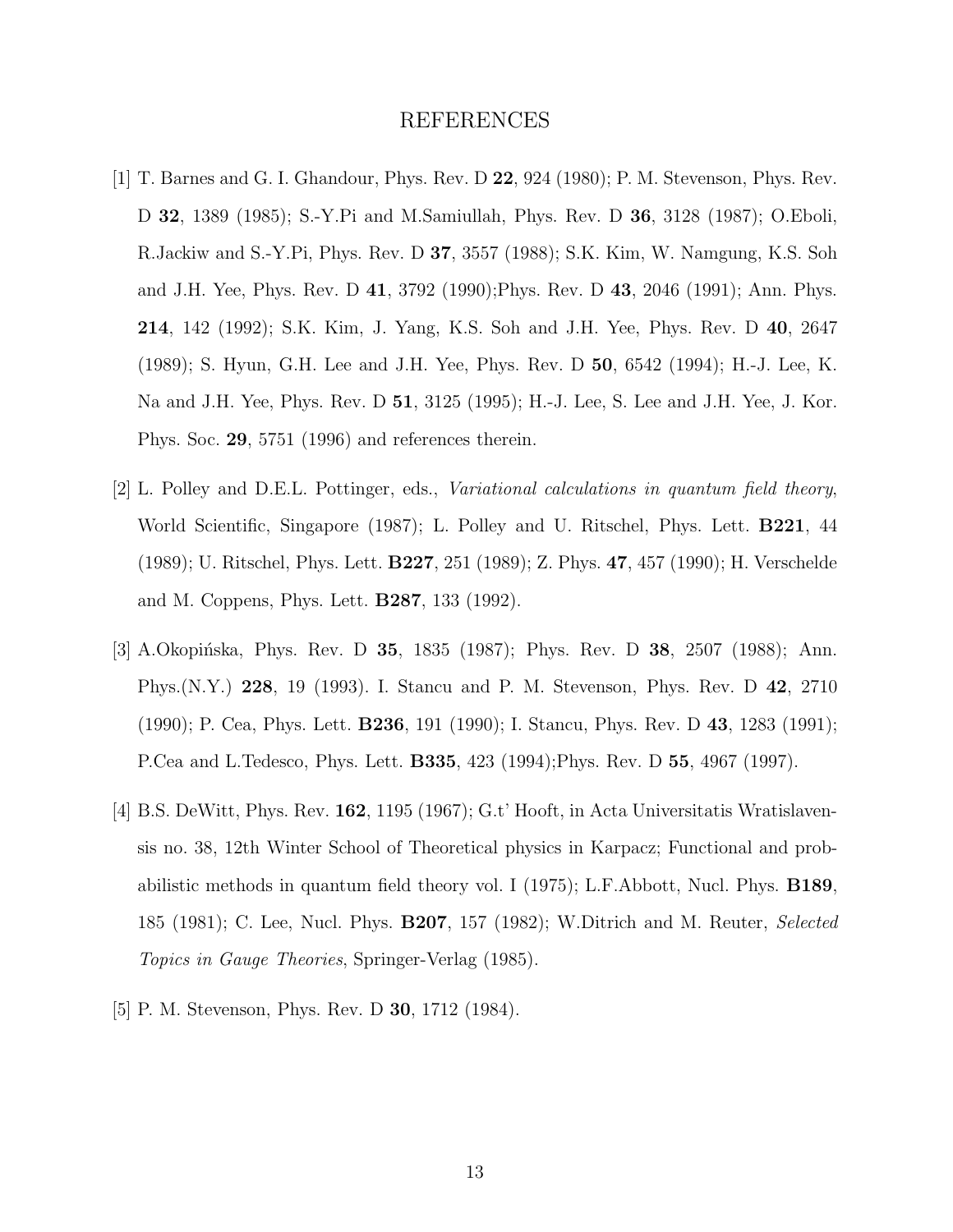#### REFERENCES

- <span id="page-12-0"></span>[1] T. Barnes and G. I. Ghandour, Phys. Rev. D 22, 924 (1980); P. M. Stevenson, Phys. Rev. D 32, 1389 (1985); S.-Y.Pi and M.Samiullah, Phys. Rev. D 36, 3128 (1987); O.Eboli, R.Jackiw and S.-Y.Pi, Phys. Rev. D 37, 3557 (1988); S.K. Kim, W. Namgung, K.S. Soh and J.H. Yee, Phys. Rev. D 41, 3792 (1990);Phys. Rev. D 43, 2046 (1991); Ann. Phys. 214, 142 (1992); S.K. Kim, J. Yang, K.S. Soh and J.H. Yee, Phys. Rev. D 40, 2647 (1989); S. Hyun, G.H. Lee and J.H. Yee, Phys. Rev. D 50, 6542 (1994); H.-J. Lee, K. Na and J.H. Yee, Phys. Rev. D 51, 3125 (1995); H.-J. Lee, S. Lee and J.H. Yee, J. Kor. Phys. Soc. 29, 5751 (1996) and references therein.
- [2] L. Polley and D.E.L. Pottinger, eds., Variational calculations in quantum field theory, World Scientific, Singapore (1987); L. Polley and U. Ritschel, Phys. Lett. B221, 44 (1989); U. Ritschel, Phys. Lett. B227, 251 (1989); Z. Phys. 47, 457 (1990); H. Verschelde and M. Coppens, Phys. Lett. B287, 133 (1992).
- [3] A.Okopińska, Phys. Rev. D 35, 1835 (1987); Phys. Rev. D 38, 2507 (1988); Ann. Phys.(N.Y.) 228, 19 (1993). I. Stancu and P. M. Stevenson, Phys. Rev. D 42, 2710 (1990); P. Cea, Phys. Lett. B236, 191 (1990); I. Stancu, Phys. Rev. D 43, 1283 (1991); P.Cea and L.Tedesco, Phys. Lett. B335, 423 (1994);Phys. Rev. D 55, 4967 (1997).
- [4] B.S. DeWitt, Phys. Rev. 162, 1195 (1967); G.t' Hooft, in Acta Universitatis Wratislavensis no. 38, 12th Winter School of Theoretical physics in Karpacz; Functional and probabilistic methods in quantum field theory vol. I (1975); L.F.Abbott, Nucl. Phys. B189, 185 (1981); C. Lee, Nucl. Phys. B207, 157 (1982); W.Ditrich and M. Reuter, Selected Topics in Gauge Theories, Springer-Verlag (1985).
- [5] P. M. Stevenson, Phys. Rev. D **30**, 1712 (1984).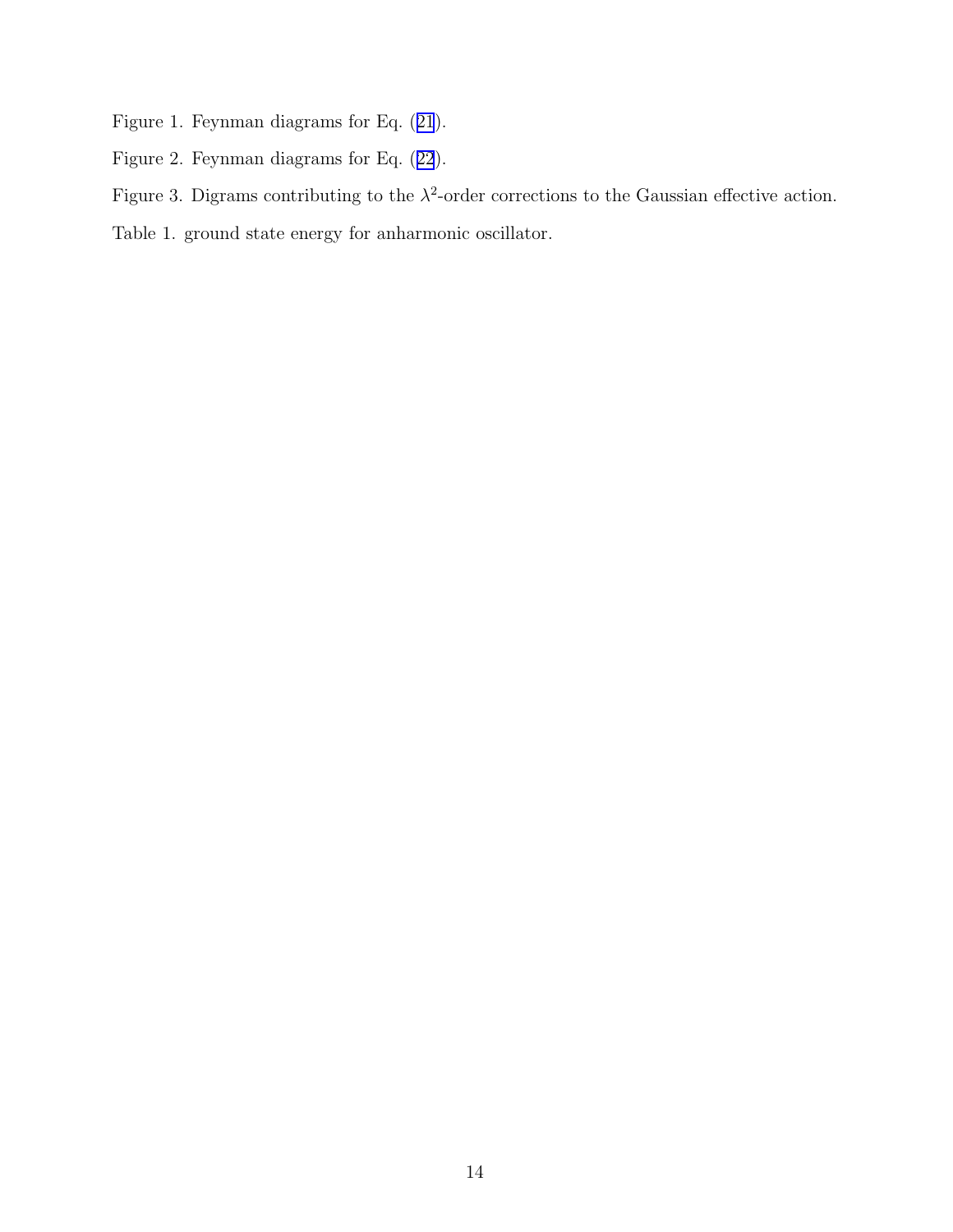- Figure 1. Feynman diagrams for Eq.([21](#page-5-0)).
- Figure 2. Feynman diagrams for Eq.([22](#page-5-0)).
- Figure 3. Digrams contributing to the  $\lambda^2$ -order corrections to the Gaussian effective action.

Table 1. ground state energy for anharmonic oscillator.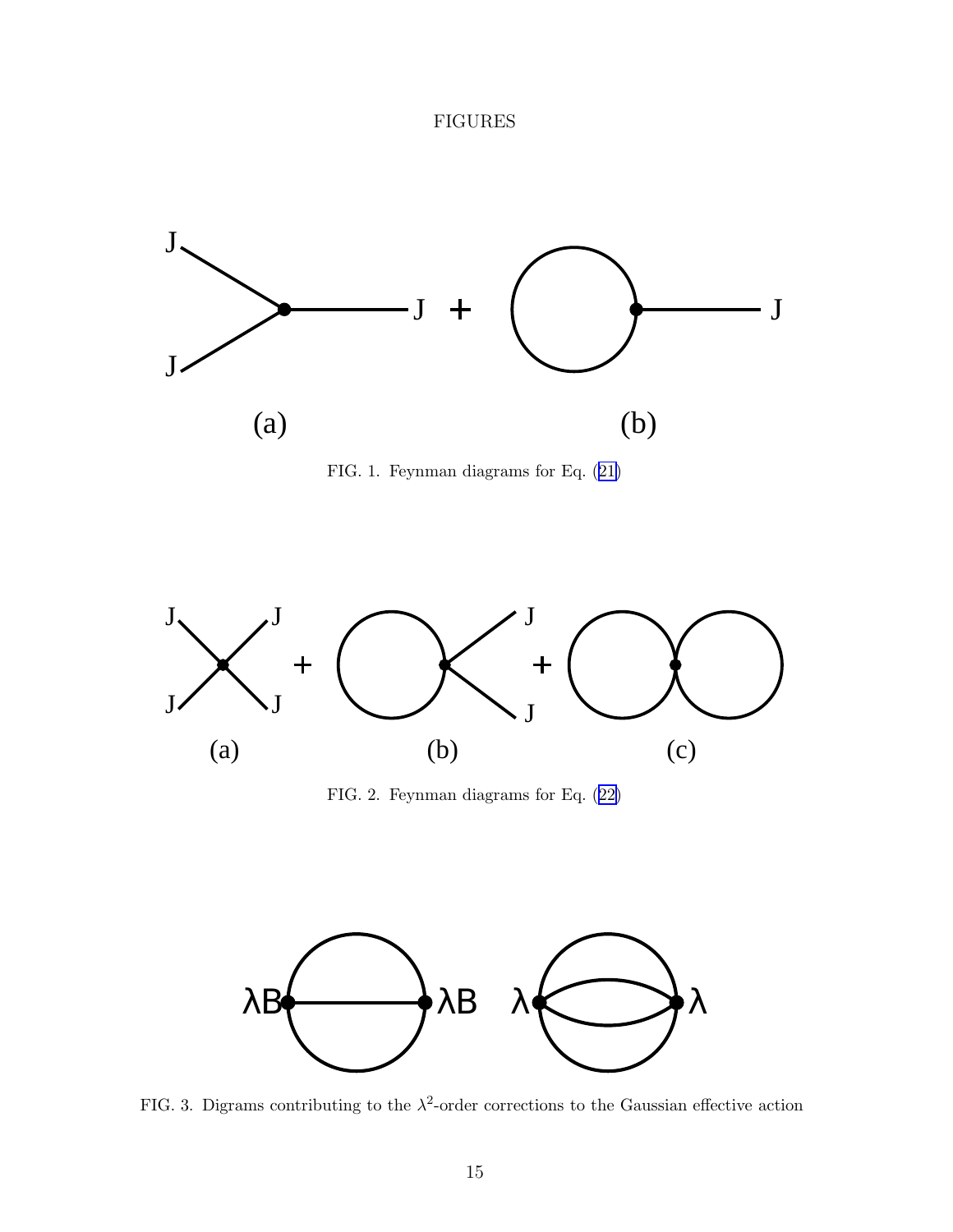### FIGURES

<span id="page-14-0"></span>





FIG. 2. Feynman diagrams for Eq.([22\)](#page-5-0)



FIG. 3. Digrams contributing to the  $\lambda^2$ -order corrections to the Gaussian effective action